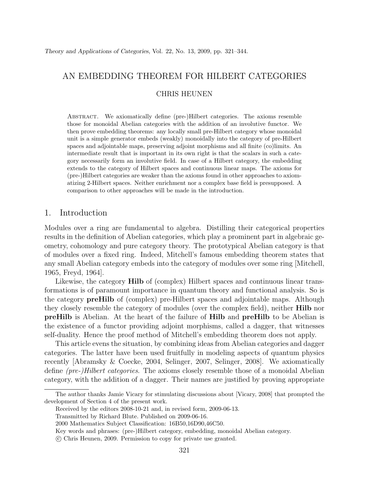# AN EMBEDDING THEOREM FOR HILBERT CATEGORIES

#### CHRIS HEUNEN

Abstract. We axiomatically define (pre-)Hilbert categories. The axioms resemble those for monoidal Abelian categories with the addition of an involutive functor. We then prove embedding theorems: any locally small pre-Hilbert category whose monoidal unit is a simple generator embeds (weakly) monoidally into the category of pre-Hilbert spaces and adjointable maps, preserving adjoint morphisms and all finite (co)limits. An intermediate result that is important in its own right is that the scalars in such a category necessarily form an involutive field. In case of a Hilbert category, the embedding extends to the category of Hilbert spaces and continuous linear maps. The axioms for (pre-)Hilbert categories are weaker than the axioms found in other approaches to axiomatizing 2-Hilbert spaces. Neither enrichment nor a complex base field is presupposed. A comparison to other approaches will be made in the introduction.

# 1. Introduction

Modules over a ring are fundamental to algebra. Distilling their categorical properties results in the definition of Abelian categories, which play a prominent part in algebraic geometry, cohomology and pure category theory. The prototypical Abelian category is that of modules over a fixed ring. Indeed, Mitchell's famous embedding theorem states that any small Abelian category embeds into the category of modules over some ring [Mitchell, 1965, Freyd, 1964].

Likewise, the category **Hilb** of (complex) Hilbert spaces and continuous linear transformations is of paramount importance in quantum theory and functional analysis. So is the category preHilb of (complex) pre-Hilbert spaces and adjointable maps. Although they closely resemble the category of modules (over the complex field), neither Hilb nor preHilb is Abelian. At the heart of the failure of Hilb and preHilb to be Abelian is the existence of a functor providing adjoint morphisms, called a dagger, that witnesses self-duality. Hence the proof method of Mitchell's embedding theorem does not apply.

This article evens the situation, by combining ideas from Abelian categories and dagger categories. The latter have been used fruitfully in modeling aspects of quantum physics recently [Abramsky & Coecke, 2004, Selinger, 2007, Selinger, 2008]. We axiomatically define (pre-)Hilbert categories. The axioms closely resemble those of a monoidal Abelian category, with the addition of a dagger. Their names are justified by proving appropriate

The author thanks Jamie Vicary for stimulating discussions about [Vicary, 2008] that prompted the development of Section 4 of the present work.

Received by the editors 2008-10-21 and, in revised form, 2009-06-13.

Transmitted by Richard Blute. Published on 2009-06-16.

<sup>2000</sup> Mathematics Subject Classification: 16B50,16D90,46C50.

Key words and phrases: (pre-)Hilbert category, embedding, monoidal Abelian category.

c Chris Heunen, 2009. Permission to copy for private use granted.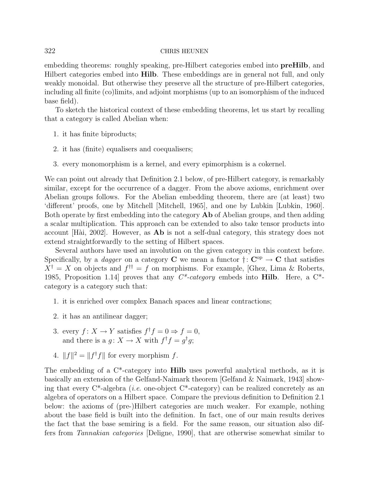embedding theorems: roughly speaking, pre-Hilbert categories embed into preHilb, and Hilbert categories embed into Hilb. These embeddings are in general not full, and only weakly monoidal. But otherwise they preserve all the structure of pre-Hilbert categories, including all finite (co)limits, and adjoint morphisms (up to an isomorphism of the induced base field).

To sketch the historical context of these embedding theorems, let us start by recalling that a category is called Abelian when:

- 1. it has finite biproducts;
- 2. it has (finite) equalisers and coequalisers;
- 3. every monomorphism is a kernel, and every epimorphism is a cokernel.

We can point out already that Definition 2.1 below, of pre-Hilbert category, is remarkably similar, except for the occurrence of a dagger. From the above axioms, enrichment over Abelian groups follows. For the Abelian embedding theorem, there are (at least) two 'different' proofs, one by Mitchell [Mitchell, 1965], and one by Lubkin [Lubkin, 1960]. Both operate by first embedding into the category Ab of Abelian groups, and then adding a scalar multiplication. This approach can be extended to also take tensor products into account  $[H\ddot{a}]$ , 2002]. However, as **Ab** is not a self-dual category, this strategy does not extend straightforwardly to the setting of Hilbert spaces.

Several authors have used an involution on the given category in this context before. Specifically, by a *dagger* on a category **C** we mean a functor  $\dagger: \mathbb{C}^{op} \to \mathbb{C}$  that satisfies  $X^{\dagger} = X$  on objects and  $f^{\dagger \dagger} = f$  on morphisms. For example, [Ghez, Lima & Roberts, 1985, Proposition 1.14] proves that any  $C^*$ -category embeds into **Hilb**. Here, a  $C^*$ category is a category such that:

- 1. it is enriched over complex Banach spaces and linear contractions;
- 2. it has an antilinear dagger;
- 3. every  $f: X \to Y$  satisfies  $f^{\dagger} f = 0 \Rightarrow f = 0$ , and there is a  $g: X \to X$  with  $f^{\dagger} f = g^{\dagger} g$ ;
- 4.  $||f||^2 = ||f^{\dagger}f||$  for every morphism f.

The embedding of a  $C^*$ -category into **Hilb** uses powerful analytical methods, as it is basically an extension of the Gelfand-Naimark theorem [Gelfand & Naimark, 1943] showing that every  $C^*$ -algebra *(i.e.* one-object  $C^*$ -category) can be realized concretely as an algebra of operators on a Hilbert space. Compare the previous definition to Definition 2.1 below: the axioms of (pre-)Hilbert categories are much weaker. For example, nothing about the base field is built into the definition. In fact, one of our main results derives the fact that the base semiring is a field. For the same reason, our situation also differs from Tannakian categories [Deligne, 1990], that are otherwise somewhat similar to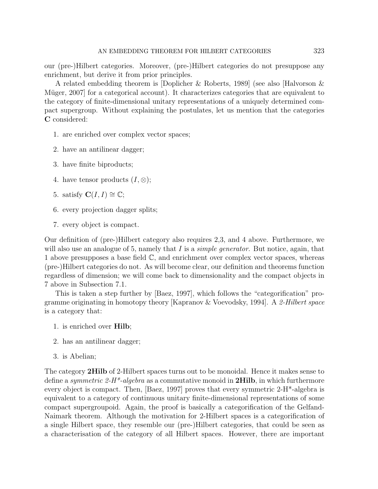our (pre-)Hilbert categories. Moreover, (pre-)Hilbert categories do not presuppose any enrichment, but derive it from prior principles.

A related embedding theorem is [Doplicher & Roberts, 1989] (see also [Halvorson & Müger, 2007 for a categorical account). It characterizes categories that are equivalent to the category of finite-dimensional unitary representations of a uniquely determined compact supergroup. Without explaining the postulates, let us mention that the categories C considered:

- 1. are enriched over complex vector spaces;
- 2. have an antilinear dagger;
- 3. have finite biproducts;
- 4. have tensor products  $(I, \otimes);$
- 5. satisfy  $\mathbf{C}(I, I) \cong \mathbb{C}$ ;
- 6. every projection dagger splits;
- 7. every object is compact.

Our definition of (pre-)Hilbert category also requires 2,3, and 4 above. Furthermore, we will also use an analogue of 5, namely that  $I$  is a *simple generator*. But notice, again, that 1 above presupposes a base field  $\mathbb{C}$ , and enrichment over complex vector spaces, whereas (pre-)Hilbert categories do not. As will become clear, our definition and theorems function regardless of dimension; we will come back to dimensionality and the compact objects in 7 above in Subsection 7.1.

This is taken a step further by [Baez, 1997], which follows the "categorification" programme originating in homotopy theory [Kapranov & Voevodsky, 1994]. A 2-Hilbert space is a category that:

- 1. is enriched over Hilb;
- 2. has an antilinear dagger;
- 3. is Abelian;

The category 2Hilb of 2-Hilbert spaces turns out to be monoidal. Hence it makes sense to define a *symmetric 2-H<sup>\*</sup>-algebra* as a commutative monoid in **2Hilb**, in which furthermore every object is compact. Then, [Baez, 1997] proves that every symmetric 2-H\*-algebra is equivalent to a category of continuous unitary finite-dimensional representations of some compact supergroupoid. Again, the proof is basically a categorification of the Gelfand-Naimark theorem. Although the motivation for 2-Hilbert spaces is a categorification of a single Hilbert space, they resemble our (pre-)Hilbert categories, that could be seen as a characterisation of the category of all Hilbert spaces. However, there are important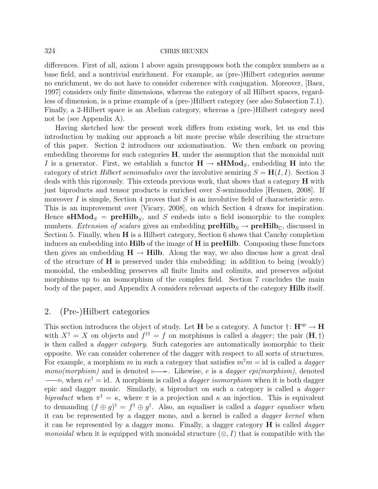differences. First of all, axiom 1 above again presupposes both the complex numbers as a base field, and a nontrivial enrichment. For example, as (pre-)Hilbert categories assume no enrichment, we do not have to consider coherence with conjugation. Moreover, [Baez, 1997] considers only finite dimensions, whereas the category of all Hilbert spaces, regardless of dimension, is a prime example of a (pre-)Hilbert category (see also Subsection 7.1). Finally, a 2-Hilbert space is an Abelian category, whereas a (pre-)Hilbert category need not be (see Appendix A).

Having sketched how the present work differs from existing work, let us end this introduction by making our approach a bit more precise while describing the structure of this paper. Section 2 introduces our axiomatisation. We then embark on proving embedding theorems for such categories  $H$ , under the assumption that the monoidal unit I is a generator. First, we establish a functor  $H \to sHMod_s$ , embedding H into the category of strict Hilbert semimodules over the involutive semiring  $S = H(I, I)$ . Section 3 deals with this rigorously. This extends previous work, that shows that a category H with just biproducts and tensor products is enriched over S-semimodules [Heunen, 2008]. If moreover I is simple, Section 4 proves that  $S$  is an involutive field of characteristic zero. This is an improvement over [Vicary, 2008], on which Section 4 draws for inspiration. Hence **sHMod**<sub>S</sub> = **preHilb**<sub>S</sub>, and S embeds into a field isomorphic to the complex numbers. Extension of scalars gives an embedding  $\mathbf{preHilb}_S \rightarrow \mathbf{preHilb}_C$ , discussed in Section 5. Finally, when H is a Hilbert category, Section 6 shows that Cauchy completion induces an embedding into Hilb of the image of H in preHilb. Composing these functors then gives an embedding  $H \to Hilb$ . Along the way, we also discuss how a great deal of the structure of  $H$  is preserved under this embedding: in addition to being (weakly) monoidal, the embedding preserves all finite limits and colimits, and preserves adjoint morphisms up to an isomorphism of the complex field. Section 7 concludes the main body of the paper, and Appendix A considers relevant aspects of the category **Hilb** itself.

## 2. (Pre-)Hilbert categories

This section introduces the object of study. Let H be a category. A functor  $\dagger$ : H<sup>op</sup>  $\rightarrow$  H with  $X^{\dagger} = X$  on objects and  $f^{\dagger \dagger} = f$  on morphisms is called a *dagger*; the pair  $(\mathbf{H}, \dagger)$ is then called a dagger category. Such categories are automatically isomorphic to their opposite. We can consider coherence of the dagger with respect to all sorts of structures. For example, a morphism m in such a category that satisfies  $m^{\dagger}m = id$  is called a *dagger* mono(morphism) and is denoted  $\rightarrow \rightarrow$ . Likewise, e is a dagger epi(morphism), denoted  $\longrightarrow$ , when  $ee^{\dagger} = id$ . A morphism is called a *dagger isomorphism* when it is both dagger epic and dagger monic. Similarly, a biproduct on such a category is called a dagger biproduct when  $\pi^{\dagger} = \kappa$ , where  $\pi$  is a projection and  $\kappa$  an injection. This is equivalent to demanding  $(f \oplus g)^\dagger = f^\dagger \oplus g^\dagger$ . Also, an equaliser is called a *dagger equaliser* when it can be represented by a dagger mono, and a kernel is called a dagger kernel when it can be represented by a dagger mono. Finally, a dagger category  $H$  is called *dagger monoidal* when it is equipped with monoidal structure  $(\otimes, I)$  that is compatible with the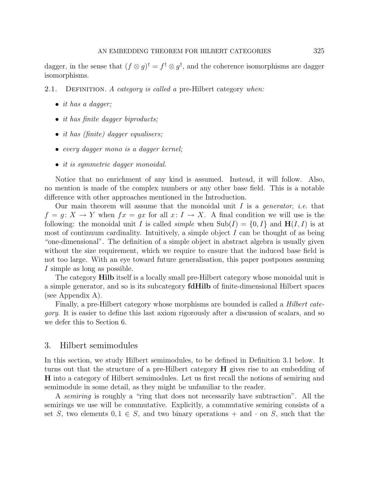dagger, in the sense that  $(f \otimes g)^\dagger = f^\dagger \otimes g^\dagger$ , and the coherence isomorphisms are dagger isomorphisms.

2.1. DEFINITION. A category is called a pre-Hilbert category when:

- it has a dagger;
- *it has finite dagger biproducts*;
- *it has (finite)* dagger equalisers;
- every dagger mono is a dagger kernel;
- *it is symmetric dagger monoidal.*

Notice that no enrichment of any kind is assumed. Instead, it will follow. Also, no mention is made of the complex numbers or any other base field. This is a notable difference with other approaches mentioned in the Introduction.

Our main theorem will assume that the monoidal unit I is a *generator*, *i.e.* that  $f = g: X \to Y$  when  $fx = gx$  for all  $x: I \to X$ . A final condition we will use is the following: the monoidal unit I is called *simple* when  $\text{Sub}(I) = \{0, I\}$  and  $H(I, I)$  is at most of continuum cardinality. Intuitively, a simple object  $I$  can be thought of as being "one-dimensional". The definition of a simple object in abstract algebra is usually given without the size requirement, which we require to ensure that the induced base field is not too large. With an eye toward future generalisation, this paper postpones assuming I simple as long as possible.

The category **Hilb** itself is a locally small pre-Hilbert category whose monoidal unit is a simple generator, and so is its subcategory fdHilb of finite-dimensional Hilbert spaces (see Appendix A).

Finally, a pre-Hilbert category whose morphisms are bounded is called a Hilbert category. It is easier to define this last axiom rigorously after a discussion of scalars, and so we defer this to Section 6.

### 3. Hilbert semimodules

In this section, we study Hilbert semimodules, to be defined in Definition 3.1 below. It turns out that the structure of a pre-Hilbert category H gives rise to an embedding of H into a category of Hilbert semimodules. Let us first recall the notions of semiring and semimodule in some detail, as they might be unfamiliar to the reader.

A semiring is roughly a "ring that does not necessarily have subtraction". All the semirings we use will be commutative. Explicitly, a commutative semiring consists of a set S, two elements  $0, 1 \in S$ , and two binary operations + and  $\cdot$  on S, such that the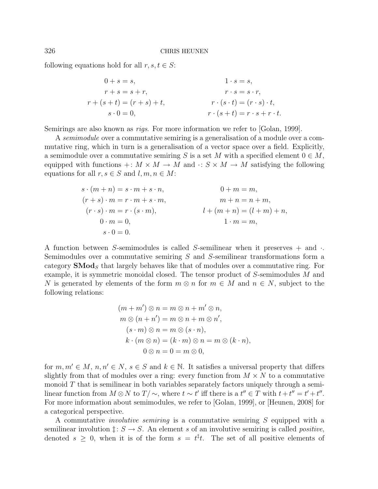following equations hold for all  $r, s, t \in S$ :

$$
0+s = s,
$$
  
\n
$$
r+s = s+r,
$$
  
\n
$$
r+(s+t) = (r+s)+t,
$$
  
\n
$$
s \cdot 0 = 0,
$$
  
\n
$$
0+s = s,
$$
  
\n
$$
1 \cdot s = s,
$$
  
\n
$$
r \cdot s = s \cdot r,
$$
  
\n
$$
r \cdot (s+t) = (r \cdot s) \cdot t,
$$
  
\n
$$
r \cdot (s+t) = r \cdot s + r \cdot t.
$$

Semirings are also known as *rigs*. For more information we refer to [Golan, 1999].

A semimodule over a commutative semiring is a generalisation of a module over a commutative ring, which in turn is a generalisation of a vector space over a field. Explicitly, a semimodule over a commutative semiring S is a set M with a specified element  $0 \in M$ , equipped with functions  $+: M \times M \to M$  and  $\cdot: S \times M \to M$  satisfying the following equations for all  $r, s \in S$  and  $l, m, n \in M$ :

$$
s \cdot (m+n) = s \cdot m + s \cdot n,
$$
  
\n
$$
(r+s) \cdot m = r \cdot m + s \cdot m,
$$
  
\n
$$
(r \cdot s) \cdot m = r \cdot (s \cdot m),
$$
  
\n
$$
0 + m = m,
$$
  
\n
$$
m + n = n + m,
$$
  
\n
$$
l + (m+n) = (l+m) + n,
$$
  
\n
$$
1 \cdot m = m,
$$
  
\n
$$
s \cdot 0 = 0.
$$

A function between S-semimodules is called S-semilinear when it preserves  $+$  and  $\cdot$ . Semimodules over a commutative semiring S and S-semilinear transformations form a category  $\mathbf{SMod}_{S}$  that largely behaves like that of modules over a commutative ring. For example, it is symmetric monoidal closed. The tensor product of S-semimodules M and N is generated by elements of the form  $m \otimes n$  for  $m \in M$  and  $n \in N$ , subject to the following relations:

$$
(m+m') \otimes n = m \otimes n + m' \otimes n,
$$
  
\n
$$
m \otimes (n+n') = m \otimes n + m \otimes n',
$$
  
\n
$$
(s \cdot m) \otimes n = m \otimes (s \cdot n),
$$
  
\n
$$
k \cdot (m \otimes n) = (k \cdot m) \otimes n = m \otimes (k \cdot n),
$$
  
\n
$$
0 \otimes n = 0 = m \otimes 0,
$$

for  $m, m' \in M$ ,  $n, n' \in N$ ,  $s \in S$  and  $k \in \mathbb{N}$ . It satisfies a universal property that differs slightly from that of modules over a ring: every function from  $M \times N$  to a commutative monoid  $T$  that is semilinear in both variables separately factors uniquely through a semilinear function from  $M \otimes N$  to  $T/\sim$ , where  $t \sim t'$  iff there is a  $t'' \in T$  with  $t + t'' = t' + t''$ . For more information about semimodules, we refer to [Golan, 1999], or [Heunen, 2008] for a categorical perspective.

A commutative involutive semiring is a commutative semiring S equipped with a semilinear involution  $\ddagger: S \to S$ . An element s of an involutive semiring is called *positive*, denoted  $s \geq 0$ , when it is of the form  $s = t^{\ddagger}t$ . The set of all positive elements of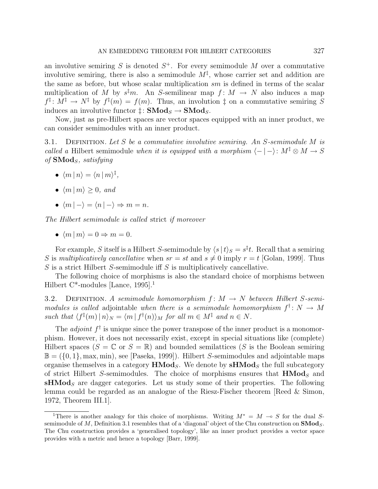an involutive semiring S is denoted  $S^+$ . For every semimodule M over a commutative involutive semiring, there is also a semimodule  $M^{\ddagger}$ , whose carrier set and addition are the same as before, but whose scalar multiplication  $sm$  is defined in terms of the scalar multiplication of M by  $s^{\ddagger}m$ . An S-semilinear map  $f: M \to N$  also induces a map  $f^{\ddagger}$ :  $M^{\ddagger} \rightarrow N^{\ddagger}$  by  $f^{\ddagger}(m) = f(m)$ . Thus, an involution  $\ddagger$  on a commutative semiring S induces an involutive functor  $\ddagger$ :  $\text{SMod}_S \rightarrow \text{SMod}_S$ .

Now, just as pre-Hilbert spaces are vector spaces equipped with an inner product, we can consider semimodules with an inner product.

3.1. DEFINITION. Let S be a commutative involutive semiring. An S-semimodule M is called a Hilbert semimodule when it is equipped with a morphism  $\langle - | - \rangle : M^{\ddagger} \otimes M \rightarrow S$ of  $\mathbf{SMod}_S$ , satisfying

- $\bullet \ \langle m | n \rangle = \langle n | m \rangle^{\ddagger},$
- $\langle m | m \rangle \geq 0$ , and
- $\langle m | \rangle = \langle n | \rangle \Rightarrow m = n$ .

The Hilbert semimodule is called strict if moreover

•  $\langle m | m \rangle = 0 \Rightarrow m = 0.$ 

For example, S itself is a Hilbert S-semimodule by  $\langle s | t \rangle_S = s^{\ddagger} t$ . Recall that a semiring S is multiplicatively cancellative when  $sr = st$  and  $s \neq 0$  imply  $r = t$  [Golan, 1999]. Thus S is a strict Hilbert S-semimodule iff S is multiplicatively cancellative.

The following choice of morphisms is also the standard choice of morphisms between Hilbert C\*-modules [Lance, 1995].<sup>1</sup>

3.2. DEFINITION. A semimodule homomorphism  $f: M \to N$  between Hilbert S-semimodules is called adjointable when there is a semimodule homomorphism  $f^{\dagger}$ :  $N \to M$ such that  $\langle f^{\ddagger}(m) | n \rangle_N = \langle m | f^{\dagger}(n) \rangle_M$  for all  $m \in M^{\ddagger}$  and  $n \in N$ .

The *adjoint*  $f^{\dagger}$  is unique since the power transpose of the inner product is a monomorphism. However, it does not necessarily exist, except in special situations like (complete) Hilbert spaces  $(S = \mathbb{C}$  or  $S = \mathbb{R}$ ) and bounded semilattices (S is the Boolean semiring  $\mathbb{B} = (\{0, 1\}, \max, \min)$ , see [Paseka, 1999]). Hilbert *S*-semimodules and adjointable maps organise themselves in a category  $HMod_S$ . We denote by  $sHMod_S$  the full subcategory of strict Hilbert S-semimodules. The choice of morphisms ensures that  $HMod_S$  and  $\mathbf{s} \mathbf{H} \mathbf{M} \mathbf{od}_S$  are dagger categories. Let us study some of their properties. The following lemma could be regarded as an analogue of the Riesz-Fischer theorem [Reed & Simon, 1972, Theorem III.1].

<sup>&</sup>lt;sup>1</sup>There is another analogy for this choice of morphisms. Writing  $M^* = M \to S$  for the dual Ssemimodule of M, Definition 3.1 resembles that of a 'diagonal' object of the Chu construction on  $\mathbf{SMod}_{S}$ . The Chu construction provides a 'generalised topology', like an inner product provides a vector space provides with a metric and hence a topology [Barr, 1999].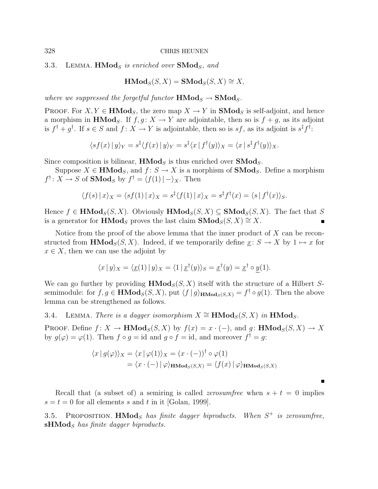3.3. LEMMA.  $HMod_S$  is enriched over  $SMod_S$ , and

$$
\mathbf{HMod}_S(S, X) = \mathbf{SMod}_S(S, X) \cong X,
$$

where we suppressed the forgetful functor  $HMod_S \rightarrow SMod_S$ .

PROOF. For  $X, Y \in \mathbf{HMod}_{S}$ , the zero map  $X \to Y$  in  $\mathbf{SMod}_{S}$  is self-adjoint, and hence a morphism in **HMod**<sub>S</sub>. If  $f, g: X \to Y$  are adjointable, then so is  $f + g$ , as its adjoint is  $f^{\dagger} + g^{\dagger}$ . If  $s \in S$  and  $f: X \to Y$  is adjointable, then so is  $sf$ , as its adjoint is  $s^{\ddagger}f^{\dagger}$ :

$$
\langle sf(x) | y \rangle_Y = s^{\ddagger} \langle f(x) | y \rangle_Y = s^{\ddagger} \langle x | f^{\dagger} (y) \rangle_X = \langle x | s^{\ddagger} f^{\dagger} (y) \rangle_X.
$$

Since composition is bilinear,  $HMod<sub>S</sub>$  is thus enriched over  $SMod<sub>S</sub>$ .

Suppose  $X \in \mathbf{HMod}_S$ , and  $f: S \to X$  is a morphism of  $\mathbf{SMod}_S$ . Define a morphism  $f^{\dagger}$ :  $X \to S$  of **SMod**<sub>S</sub> by  $f^{\dagger} = \langle f(1) | - \rangle_X$ . Then

$$
\langle f(s) | x \rangle_X = \langle s f(1) | x \rangle_X = s^{\dagger} \langle f(1) | x \rangle_X = s^{\dagger} f^{\dagger} (x) = \langle s | f^{\dagger} (x) \rangle_S.
$$

Hence  $f \in \textbf{HMod}_{S}(S, X)$ . Obviously  $\textbf{HMod}_{S}(S, X) \subseteq \textbf{SMod}_{S}(S, X)$ . The fact that S is a generator for **HMod**<sub>S</sub> proves the last claim  $\text{SMod}_{S}(S, X) \cong X$ .

Notice from the proof of the above lemma that the inner product of  $X$  can be reconstructed from  $\textbf{HMod}_S(S, X)$ . Indeed, if we temporarily define  $x: S \to X$  by  $1 \mapsto x$  for  $x \in X$ , then we can use the adjoint by

$$
\langle x | y \rangle_X = \langle \underline{x}(1) | y \rangle_X = \langle 1 | \underline{x}^\dagger(y) \rangle_S = \underline{x}^\dagger(y) = \underline{x}^\dagger \circ \underline{y}(1).
$$

We can go further by providing  $\text{HMod}_S(S, X)$  itself with the structure of a Hilbert Ssemimodule: for  $f, g \in \mathbf{HMod}_{S}(S, X)$ , put  $\langle f | g \rangle_{\mathbf{HMod}_{S}(S, X)} = f^{\dagger} \circ g(1)$ . Then the above lemma can be strengthened as follows.

3.4. LEMMA. There is a dagger isomorphism  $X \cong \textbf{HMod}_S(S, X)$  in  $\textbf{HMod}_S$ .

PROOF. Define  $f: X \to \mathbf{HMod}_S(S, X)$  by  $f(x) = x \cdot (-)$ , and  $g: \mathbf{HMod}_S(S, X) \to X$ by  $g(\varphi) = \varphi(1)$ . Then  $f \circ g = id$  and  $g \circ f = id$ , and moreover  $f^{\dagger} = g$ :

$$
\langle x | g(\varphi) \rangle_X = \langle x | \varphi(1) \rangle_X = (x \cdot (-))^\dagger \circ \varphi(1)
$$
  
=  $\langle x \cdot (-) | \varphi \rangle_{\text{HMod}_S(S,X)} = \langle f(x) | \varphi \rangle_{\text{HMod}_S(S,X)}$ 

Recall that (a subset of) a semiring is called *zerosumfree* when  $s + t = 0$  implies  $s = t = 0$  for all elements s and t in it [Golan, 1999].

3.5. PROPOSITION.  $HMod_S$  has finite dagger biproducts. When  $S^+$  is zerosumfree,  $\mathbf{sHMod}_S$  has finite dagger biproducts.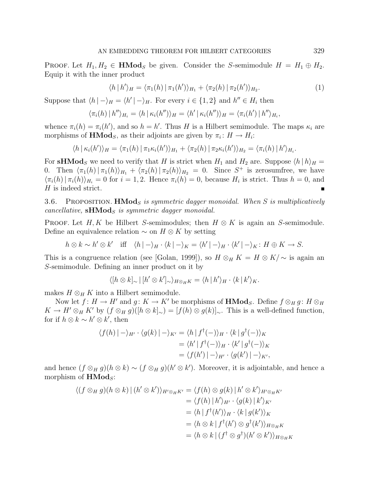PROOF. Let  $H_1, H_2 \in \mathbf{HMod}_S$  be given. Consider the S-semimodule  $H = H_1 \oplus H_2$ . Equip it with the inner product

$$
\langle h|h'\rangle_H = \langle \pi_1(h) | \pi_1(h')\rangle_{H_1} + \langle \pi_2(h) | \pi_2(h')\rangle_{H_2}.
$$
 (1)

Suppose that  $\langle h | - \rangle_H = \langle h' | - \rangle_H$ . For every  $i \in \{1, 2\}$  and  $h'' \in H_i$  then

$$
\langle \pi_i(h) | h'' \rangle_{H_i} = \langle h | \kappa_i(h'') \rangle_H = \langle h' | \kappa_i(h'') \rangle_H = \langle \pi_i(h') | h'' \rangle_{H_i},
$$

whence  $\pi_i(h) = \pi_i(h')$ , and so  $h = h'$ . Thus H is a Hilbert semimodule. The maps  $\kappa_i$  are morphisms of **HMod**<sub>S</sub>, as their adjoints are given by  $\pi_i: H \to H_i$ :

$$
\langle h | \kappa_i(h') \rangle_H = \langle \pi_1(h) | \pi_1 \kappa_i(h') \rangle_{H_1} + \langle \pi_2(h) | \pi_2 \kappa_i(h') \rangle_{H_2} = \langle \pi_i(h) | h' \rangle_{H_i}.
$$

For **sHMod**<sub>S</sub> we need to verify that H is strict when  $H_1$  and  $H_2$  are. Suppose  $\langle h|h \rangle_H =$ 0. Then  $\langle \pi_1(h) | \pi_1(h) \rangle_{H_1} + \langle \pi_2(h) | \pi_2(h) \rangle_{H_2} = 0$ . Since S<sup>+</sup> is zerosumfree, we have  $\langle \pi_i(h) | \pi_i(h) \rangle_{H_i} = 0$  for  $i = 1, 2$ . Hence  $\pi_i(h) = 0$ , because  $H_i$  is strict. Thus  $h = 0$ , and  $H$  is indeed strict.

3.6. PROPOSITION. **HMod**<sub>S</sub> is symmetric dagger monoidal. When S is multiplicatively  $cancellative$ ,  $sHMod<sub>S</sub>$  is symmetric dagger monoidal.

PROOF. Let H, K be Hilbert S-semimodules; then  $H \otimes K$  is again an S-semimodule. Define an equivalence relation  $\sim$  on  $H \otimes K$  by setting

$$
h \otimes k \sim h' \otimes k' \quad \text{iff} \quad \langle h \mid -\rangle_H \cdot \langle k \mid -\rangle_K = \langle h' \mid -\rangle_H \cdot \langle k' \mid -\rangle_K \colon H \oplus K \to S.
$$

This is a congruence relation (see [Golan, 1999]), so  $H \otimes_H K = H \otimes K/\sim$  is again an S-semimodule. Defining an inner product on it by

$$
\langle [h \otimes k]_{\sim} | [h' \otimes k']_{\sim} \rangle_{H \otimes_H K} = \langle h | h' \rangle_H \cdot \langle k | k' \rangle_K.
$$

makes  $H \otimes_H K$  into a Hilbert semimodule.

Now let  $f: H \to H'$  and  $g: K \to K'$  be morphisms of  $\mathbf{HMod}_{S}$ . Define  $f \otimes_H g$ :  $H \otimes_H g$  $K \to H' \otimes_H K'$  by  $(f \otimes_H g)([h \otimes k]_{\sim}) = [f(h) \otimes g(k)]_{\sim}$ . This is a well-defined function, for if  $h \otimes k \sim h' \otimes k'$ , then

$$
\langle f(h) | - \rangle_{H'} \cdot \langle g(k) | - \rangle_{K'} = \langle h | f^{\dagger}(-) \rangle_{H} \cdot \langle k | g^{\dagger}(-) \rangle_{K}
$$
  

$$
= \langle h' | f^{\dagger}(-) \rangle_{H} \cdot \langle k' | g^{\dagger}(-) \rangle_{K}
$$
  

$$
= \langle f(h') | - \rangle_{H'} \cdot \langle g(k') | - \rangle_{K'},
$$

and hence  $(f \otimes_H g)(h \otimes k) \sim (f \otimes_H g)(h' \otimes k')$ . Moreover, it is adjointable, and hence a morphism of  $HMod<sub>S</sub>$ :

$$
\langle (f \otimes_H g)(h \otimes k) | (h' \otimes k') \rangle_{H' \otimes_H K'} = \langle f(h) \otimes g(k) | h' \otimes k' \rangle_{H' \otimes_H K'}
$$
  
\n
$$
= \langle f(h) | h' \rangle_{H'} \cdot \langle g(k) | k' \rangle_{K'}
$$
  
\n
$$
= \langle h | f^{\dagger}(h') \rangle_H \cdot \langle k | g(k') \rangle_K
$$
  
\n
$$
= \langle h \otimes k | f^{\dagger}(h') \otimes g^{\dagger}(k') \rangle_{H \otimes_H K}
$$
  
\n
$$
= \langle h \otimes k | (f^{\dagger} \otimes g^{\dagger})(h' \otimes k') \rangle_{H \otimes_H K}
$$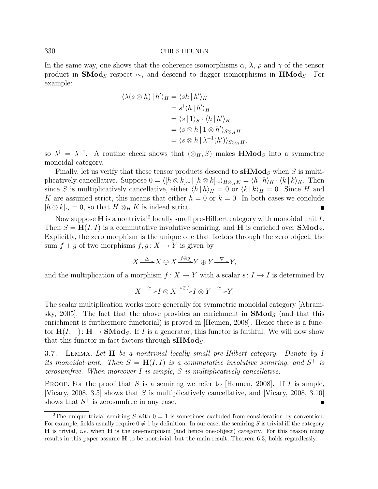In the same way, one shows that the coherence isomorphisms  $\alpha$ ,  $\lambda$ ,  $\rho$  and  $\gamma$  of the tensor product in **SMod**<sub>S</sub> respect  $\sim$ , and descend to dagger isomorphisms in **HMod**<sub>S</sub>. For example:

$$
\langle \lambda(s \otimes h) | h' \rangle_H = \langle sh | h' \rangle_H
$$
  
=  $s^{\dagger} \langle h | h' \rangle_H$   
=  $\langle s | 1 \rangle_S \cdot \langle h | h' \rangle_H$   
=  $\langle s \otimes h | 1 \otimes h' \rangle_{S \otimes_H H}$   
=  $\langle s \otimes h | \lambda^{-1}(h') \rangle_{S \otimes_H H}$ ,

so  $\lambda^{\dagger} = \lambda^{-1}$ . A routine check shows that  $(\otimes_H, S)$  makes **HMod**<sub>S</sub> into a symmetric monoidal category.

Finally, let us verify that these tensor products descend to  $\mathbf{sHMod}_S$  when S is multiplicatively cancellative. Suppose  $0 = \langle [h \otimes k]_{\sim} | [h \otimes k]_{\sim} \rangle_{H \otimes_H K} = \langle h | h \rangle_H \cdot \langle k | k \rangle_K$ . Then since S is multiplicatively cancellative, either  $\langle h | h \rangle_H = 0$  or  $\langle k | k \rangle_H = 0$ . Since H and K are assumed strict, this means that either  $h = 0$  or  $k = 0$ . In both cases we conclude  $[h \otimes k]_{\sim} = 0$ , so that  $H \otimes_H K$  is indeed strict.  $\blacksquare$ 

Now suppose  $H$  is a nontrivial<sup>2</sup> locally small pre-Hilbert category with monoidal unit  $I$ . Then  $S = H(I, I)$  is a commutative involutive semiring, and H is enriched over **SMod**<sub>S</sub>. Explicitly, the zero morphism is the unique one that factors through the zero object, the sum  $f + g$  of two morphisms  $f, g: X \to Y$  is given by

$$
X \xrightarrow{\Delta} X \oplus X \xrightarrow{f \oplus g} Y \oplus Y \xrightarrow{\nabla} Y,
$$

and the multiplication of a morphism  $f: X \to Y$  with a scalar  $s: I \to I$  is determined by

$$
X \xrightarrow{\cong} I \otimes X \xrightarrow{s \otimes f} I \otimes Y \xrightarrow{\cong} Y.
$$

The scalar multiplication works more generally for symmetric monoidal category [Abramsky, 2005. The fact that the above provides an enrichment in  $\mathbf{SMod}_{S}$  (and that this enrichment is furthermore functorial) is proved in [Heunen, 2008]. Hence there is a functor  $H(I, -)$ :  $H \to SMod_S$ . If I is a generator, this functor is faithful. We will now show that this functor in fact factors through  $sHMod<sub>S</sub>$ .

3.7. LEMMA. Let  $H$  be a nontrivial locally small pre-Hilbert category. Denote by  $I$ its monoidal unit. Then  $S = H(I, I)$  is a commutative involutive semiring, and  $S^+$  is zerosumfree. When moreover  $I$  is simple,  $S$  is multiplicatively cancellative.

PROOF. For the proof that S is a semiring we refer to [Heunen, 2008]. If I is simple, [Vicary, 2008, 3.5] shows that S is multiplicatively cancellative, and [Vicary, 2008, 3.10] shows that  $S^+$  is zerosumfree in any case.  $\blacksquare$ 

<sup>&</sup>lt;sup>2</sup>The unique trivial semiring S with  $0 = 1$  is sometimes excluded from consideration by convention. For example, fields usually require  $0 \neq 1$  by definition. In our case, the semiring S is trivial iff the category  $H$  is trivial, *i.e.* when  $H$  is the one-morphism (and hence one-object) category. For this reason many results in this paper assume H to be nontrivial, but the main result, Theorem 6.3, holds regardlessly.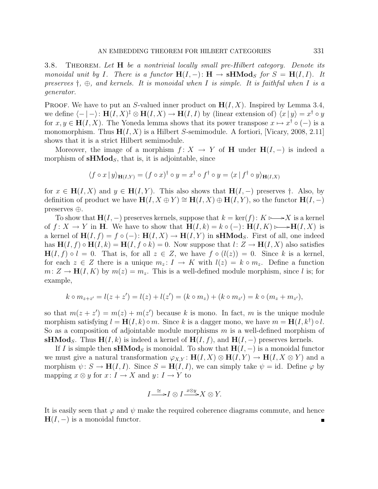3.8. THEOREM. Let **H** be a nontrivial locally small pre-Hilbert category. Denote its monoidal unit by I. There is a functor  $H(I, -): H \to \mathbf{s}H\mathbf{Mod}_S$  for  $S = H(I, I)$ . It preserves  $\dagger$ ,  $\oplus$ , and kernels. It is monoidal when I is simple. It is faithful when I is a generator.

PROOF. We have to put an S-valued inner product on  $H(I, X)$ . Inspired by Lemma 3.4, we define  $\langle - | - \rangle$ :  $\mathbf{H}(I, X)^{\dagger} \otimes \mathbf{H}(I, X) \to \mathbf{H}(I, I)$  by (linear extension of)  $\langle x | y \rangle = x^{\dagger} \circ y$ for  $x, y \in H(I, X)$ . The Yoneda lemma shows that its power transpose  $x \mapsto x^{\dagger} \circ (-)$  is a monomorphism. Thus  $H(I, X)$  is a Hilbert S-semimodule. A fortiori, [Vicary, 2008, 2.11] shows that it is a strict Hilbert semimodule.

Moreover, the image of a morphism  $f: X \to Y$  of H under  $H(I, -)$  is indeed a morphism of  $sHMod<sub>S</sub>$ , that is, it is adjointable, since

$$
\langle f \circ x | y \rangle_{\mathbf{H}(I,Y)} = (f \circ x)^{\dagger} \circ y = x^{\dagger} \circ f^{\dagger} \circ y = \langle x | f^{\dagger} \circ y \rangle_{\mathbf{H}(I,X)}
$$

for  $x \in H(I, X)$  and  $y \in H(I, Y)$ . This also shows that  $H(I, -)$  preserves  $\dagger$ . Also, by definition of product we have  $\mathbf{H}(I, X \oplus Y) \cong \mathbf{H}(I, X) \oplus \mathbf{H}(I, Y)$ , so the functor  $\mathbf{H}(I, -)$ preserves ⊕.

To show that  $H(I, -)$  preserves kernels, suppose that  $k = \text{ker}(f)$ :  $K \rightarrow X$  is a kernel of  $f: X \to Y$  in H. We have to show that  $H(I, k) = k \circ (-) : H(I, K) \rightarrow H(I, X)$  is a kernel of  $H(I, f) = f \circ (-)$ :  $H(I, X) \to H(I, Y)$  in sHMod<sub>S</sub>. First of all, one indeed has  $H(I, f) \circ H(I, k) = H(I, f \circ k) = 0$ . Now suppose that  $l: Z \to H(I, X)$  also satisfies  $H(I, f) \circ l = 0$ . That is, for all  $z \in Z$ , we have  $f \circ (l(z)) = 0$ . Since k is a kernel, for each  $z \in Z$  there is a unique  $m_z: I \to K$  with  $l(z) = k \circ m_z$ . Define a function  $m: Z \to \mathbf{H}(I, K)$  by  $m(z) = m_z$ . This is a well-defined module morphism, since l is; for example,

$$
k \circ m_{z+z'} = l(z+z') = l(z) + l(z') = (k \circ m_z) + (k \circ m_{z'}) = k \circ (m_z + m_{z'}),
$$

so that  $m(z + z') = m(z) + m(z')$  because k is mono. In fact, m is the unique module morphism satisfying  $l = H(I, k) \circ m$ . Since k is a dagger mono, we have  $m = H(I, k^{\dagger}) \circ l$ . So as a composition of adjointable module morphisms  $m$  is a well-defined morphism of sHMod<sub>S</sub>. Thus H(I, k) is indeed a kernel of H(I, f), and H(I, −) preserves kernels.

If I is simple then sHMod<sub>S</sub> is monoidal. To show that  $H(I, -)$  is a monoidal functor we must give a natural transformation  $\varphi_{X,Y} : H(I, X) \otimes H(I, Y) \to H(I, X \otimes Y)$  and a morphism  $\psi: S \to \mathbf{H}(I, I)$ . Since  $S = \mathbf{H}(I, I)$ , we can simply take  $\psi = id$ . Define  $\varphi$  by mapping  $x \otimes y$  for  $x: I \to X$  and  $y: I \to Y$  to

$$
I \stackrel{\cong}{\longrightarrow} I \otimes I \stackrel{x \otimes y}{\longrightarrow} X \otimes Y.
$$

It is easily seen that  $\varphi$  and  $\psi$  make the required coherence diagrams commute, and hence  $H(I, -)$  is a monoidal functor.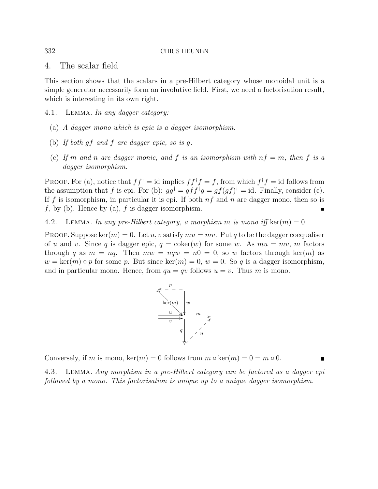### 4. The scalar field

This section shows that the scalars in a pre-Hilbert category whose monoidal unit is a simple generator necessarily form an involutive field. First, we need a factorisation result, which is interesting in its own right.

- 4.1. Lemma. In any dagger category:
	- (a) A dagger mono which is epic is a dagger isomorphism.
	- (b) If both gf and f are dagger epic, so is g.
	- (c) If m and n are dagger monic, and f is an isomorphism with  $nf = m$ , then f is a dagger isomorphism.

PROOF. For (a), notice that  $ff^{\dagger} = id$  implies  $ff^{\dagger} f = f$ , from which  $f^{\dagger} f = id$  follows from the assumption that f is epi. For (b):  $gg^{\dagger} = gff^{\dagger}g = gf(gf)^{\dagger} = id$ . Finally, consider (c). If f is isomorphism, in particular it is epi. If both  $nf$  and n are dagger mono, then so is  $f$ , by (b). Hence by (a),  $f$  is dagger isomorphism.

4.2. LEMMA. In any pre-Hilbert category, a morphism m is mono iff ker $(m) = 0$ .

PROOF. Suppose ker $(m) = 0$ . Let u, v satisfy  $mu = mv$ . Put q to be the dagger coequaliser of u and v. Since q is dagger epic,  $q = \text{coker}(w)$  for some w. As  $mu = mv$ , m factors through q as  $m = nq$ . Then  $mw = nqw = n0 = 0$ , so w factors through ker $(m)$  as  $w = \text{ker}(m) \circ p$  for some p. But since  $\text{ker}(m) = 0$ ,  $w = 0$ . So q is a dagger isomorphism, and in particular mono. Hence, from  $qu = qv$  follows  $u = v$ . Thus m is mono.



Conversely, if m is mono,  $\ker(m) = 0$  follows from  $m \circ \ker(m) = 0 = m \circ 0$ .

4.3. Lemma. Any morphism in a pre-Hilbert category can be factored as a dagger epi followed by a mono. This factorisation is unique up to a unique dagger isomorphism.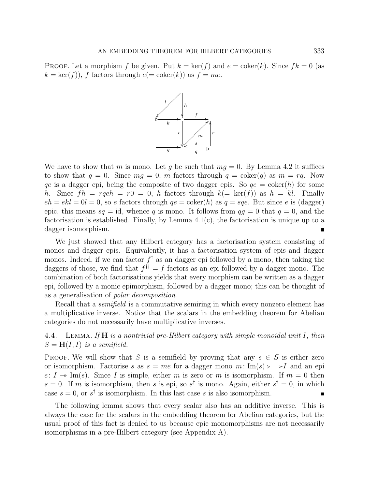**PROOF.** Let a morphism f be given. Put  $k = \text{ker}(f)$  and  $e = \text{coker}(k)$ . Since  $fk = 0$  (as  $k = \text{ker}(f)$ , f factors through  $e (= \text{coker}(k))$  as  $f = me$ .



We have to show that m is mono. Let g be such that  $mg = 0$ . By Lemma 4.2 it suffices to show that  $g = 0$ . Since  $mg = 0$ , m factors through  $q = \text{coker}(q)$  as  $m = rq$ . Now qe is a dagger epi, being the composite of two dagger epis. So  $qe = \text{coker}(h)$  for some h. Since  $fh = rqeh = r0 = 0$ , h factors through  $k (= \text{ker}(f))$  as  $h = kl$ . Finally  $eh = ekl = 0l = 0$ , so e factors through  $qe = \text{coker}(h)$  as  $q = sqe$ . But since e is (dagger) epic, this means  $sq = id$ , whence q is mono. It follows from  $qg = 0$  that  $q = 0$ , and the factorisation is established. Finally, by Lemma 4.1(c), the factorisation is unique up to a dagger isomorphism.

We just showed that any Hilbert category has a factorisation system consisting of monos and dagger epis. Equivalently, it has a factorisation system of epis and dagger monos. Indeed, if we can factor  $f^{\dagger}$  as an dagger epi followed by a mono, then taking the daggers of those, we find that  $f^{\dagger \dagger} = f$  factors as an epi followed by a dagger mono. The combination of both factorisations yields that every morphism can be written as a dagger epi, followed by a monic epimorphism, followed by a dagger mono; this can be thought of as a generalisation of polar decomposition.

Recall that a *semifield* is a commutative semiring in which every nonzero element has a multiplicative inverse. Notice that the scalars in the embedding theorem for Abelian categories do not necessarily have multiplicative inverses.

4.4. LEMMA. If  $H$  is a nontrivial pre-Hilbert category with simple monoidal unit I, then  $S = H(I, I)$  is a semifield.

PROOF. We will show that S is a semifield by proving that any  $s \in S$  is either zero or isomorphism. Factorise s as  $s = me$  for a dagger mono  $m: Im(s) \rightarrow I$  and an epi  $e: I \twoheadrightarrow \text{Im}(s)$ . Since I is simple, either m is zero or m is isomorphism. If  $m = 0$  then  $s = 0$ . If m is isomorphism, then s is epi, so s<sup>†</sup> is mono. Again, either  $s^{\dagger} = 0$ , in which case  $s = 0$ , or  $s^{\dagger}$  is isomorphism. In this last case s is also isomorphism. Ē

The following lemma shows that every scalar also has an additive inverse. This is always the case for the scalars in the embedding theorem for Abelian categories, but the usual proof of this fact is denied to us because epic monomorphisms are not necessarily isomorphisms in a pre-Hilbert category (see Appendix A).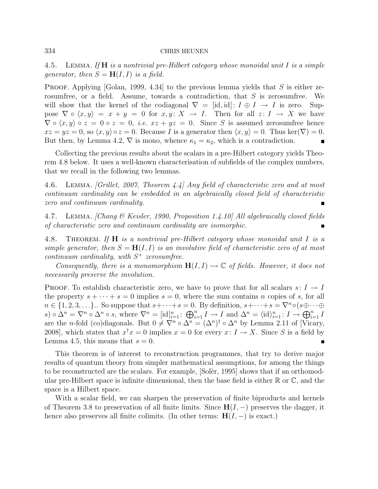4.5. LEMMA. If  $H$  is a nontrivial pre-Hilbert category whose monoidal unit I is a simple generator, then  $S = H(I, I)$  is a field.

PROOF. Applying [Golan, 1999, 4.34] to the previous lemma yields that S is either zerosumfree, or a field. Assume, towards a contradiction, that S is zerosumfree. We will show that the kernel of the codiagonal  $\nabla = [\text{id}, \text{id}] : I \oplus I \rightarrow I$  is zero. Suppose  $\nabla \circ \langle x, y \rangle = x + y = 0$  for  $x, y \colon X \to I$ . Then for all  $z \colon I \to X$  we have  $\nabla \circ \langle x, y \rangle \circ z = 0 \circ z = 0$ , *i.e.*  $xz + yz = 0$ . Since S is assumed zerosumfree hence  $xz = yz = 0$ , so  $\langle x, y \rangle \circ z = 0$ . Because I is a generator then  $\langle x, y \rangle = 0$ . Thus ker $(\nabla) = 0$ . But then, by Lemma 4.2,  $\nabla$  is mono, whence  $\kappa_1 = \kappa_2$ , which is a contradiction.  $\blacksquare$ 

Collecting the previous results about the scalars in a pre-Hilbert category yields Theorem 4.8 below. It uses a well-known characterisation of subfields of the complex numbers, that we recall in the following two lemmas.

4.6. Lemma. [Grillet, 2007, Theorem 4.4] Any field of characteristic zero and at most continuum cardinality can be embedded in an algebraically closed field of characteristic zero and continuum cardinality.

4.7. Lemma. [Chang & Keisler, 1990, Proposition 1.4.10] All algebraically closed fields of characteristic zero and continuum cardinality are isomorphic.

4.8. THEOREM. If **H** is a nontrivial pre-Hilbert category whose monoidal unit I is a simple generator, then  $S = H(I, I)$  is an involutive field of characteristic zero of at most continuum cardinality, with  $S^+$  zerosumfree.

Consequently, there is a monomorphism  $H(I, I) \rightarrow \mathbb{C}$  of fields. However, it does not necessarily preserve the involution.

PROOF. To establish characteristic zero, we have to prove that for all scalars  $s: I \to I$ the property  $s + \cdots + s = 0$  implies  $s = 0$ , where the sum contains n copies of s, for all  $n \in \{1, 2, 3, \ldots\}$ . So suppose that  $s + \cdots + s = 0$ . By definition,  $s + \cdots + s = \nabla^n \circ (s \oplus \cdots \oplus$ s)  $\circ \Delta^n = \nabla^n \circ \Delta^n \circ s$ , where  $\nabla^n = [\mathrm{id}]_{i=1}^n : \bigoplus_{i=1}^n I \to I$  and  $\Delta^n = \langle \mathrm{id} \rangle_{i=1}^n : I \to \bigoplus_{i=1}^n I$ are the *n*-fold (co)diagonals. But  $0 \neq \nabla^n \circ \Delta^n = (\Delta^n)^{\dagger} \circ \Delta^n$  by Lemma 2.11 of [Vicary, 2008, which states that  $x^{\dagger}x = 0$  implies  $x = 0$  for every  $x: I \to X$ . Since S is a field by Lemma 4.5, this means that  $s = 0$ .

This theorem is of interest to reconstruction programmes, that try to derive major results of quantum theory from simpler mathematical assumptions, for among the things to be reconstructed are the scalars. For example, Soler, 1995 shows that if an orthomodular pre-Hilbert space is infinite dimensional, then the base field is either  $\mathbb R$  or  $\mathbb C$ , and the space is a Hilbert space.

With a scalar field, we can sharpen the preservation of finite biproducts and kernels of Theorem 3.8 to preservation of all finite limits. Since  $H(I, -)$  preserves the dagger, it hence also preserves all finite colimits. (In other terms:  $H(I, -)$  is exact.)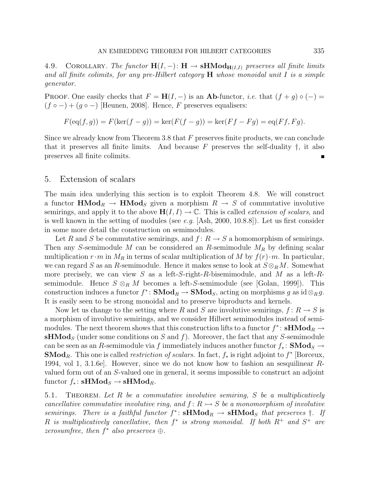4.9. COROLLARY. The functor  $H(I, -): H \to \mathbf{s}H\mathbf{Mod}_{H(I,I)}$  preserves all finite limits and all finite colimits, for any pre-Hilbert category  $H$  whose monoidal unit I is a simple generator.

PROOF. One easily checks that  $F = H(I, -)$  is an **Ab**-functor, *i.e.* that  $(f + g) \circ (-) =$  $(f \circ -) + (g \circ -)$  [Heunen, 2008]. Hence, F preserves equalisers:

$$
F(\mathrm{eq}(f,g)) = F(\mathrm{ker}(f-g)) = \mathrm{ker}(F(f-g)) = \mathrm{ker}(Ff - Fg) = \mathrm{eq}(Ff, Fg).
$$

Since we already know from Theorem 3.8 that  $F$  preserves finite products, we can conclude that it preserves all finite limits. And because  $F$  preserves the self-duality  $\dagger$ , it also preserves all finite colimits.

### 5. Extension of scalars

The main idea underlying this section is to exploit Theorem 4.8. We will construct a functor  $\text{HMod}_R \to \text{HMod}_S$  given a morphism  $R \to S$  of commutative involutive semirings, and apply it to the above  $H(I, I) \to \mathbb{C}$ . This is called *extension of scalars*, and is well known in the setting of modules (see e.g.  $[Ash, 2000, 10.8.8]$ ). Let us first consider in some more detail the construction on semimodules.

Let R and S be commutative semirings, and  $f: R \to S$  a homomorphism of semirings. Then any S-semimodule M can be considered an R-semimodule  $M_R$  by defining scalar multiplication  $r \cdot m$  in  $M_R$  in terms of scalar multiplication of M by  $f(r) \cdot m$ . In particular, we can regard S as an R-semimodule. Hence it makes sense to look at  $S \otimes_R M$ . Somewhat more precisely, we can view S as a left-S-right-R-bisemimodule, and M as a left-Rsemimodule. Hence  $S \otimes_R M$  becomes a left-S-semimodule (see [Golan, 1999]). This construction induces a functor  $f^*$ : **SMod**<sub>R</sub>  $\rightarrow$  **SMod**<sub>S</sub>, acting on morphisms g as id⊗<sub>R</sub>g. It is easily seen to be strong monoidal and to preserve biproducts and kernels.

Now let us change to the setting where R and S are involutive semirings,  $f: R \to S$  is a morphism of involutive semirings, and we consider Hilbert semimodules instead of semimodules. The next theorem shows that this construction lifts to a functor  $f^*$ :  $\mathbf{sHMod}_R \to$ **sHMod**<sub>S</sub> (under some conditions on S and f). Moreover, the fact that any S-semimodule can be seen as an R-semimodule via f immediately induces another functor  $f_*$ : **SMod**<sub>S</sub> → **SMod**<sub>R</sub>. This one is called *restriction of scalars*. In fact,  $f_*$  is right adjoint to  $f^*$  [Borceux, 1994, vol 1, 3.1.6e]. However, since we do not know how to fashion an sesquilinear Rvalued form out of an S-valued one in general, it seems impossible to construct an adjoint functor  $f_*$ : sHMod<sub>S</sub> → sHMod<sub>R</sub>.

5.1. THEOREM. Let R be a commutative involutive semiring, S be a multiplicatively cancellative commutative involutive ring, and  $f: R \rightarrow S$  be a monomorphism of involutive semirings. There is a faithful functor  $f^*$ :  $sHMod_R \rightarrow sHMod_S$  that preserves  $\dagger$ . If R is multiplicatively cancellative, then  $f^*$  is strong monoidal. If both  $R^+$  and  $S^+$  are  $zerosumfree, then f^* also preserves \bigoplus.$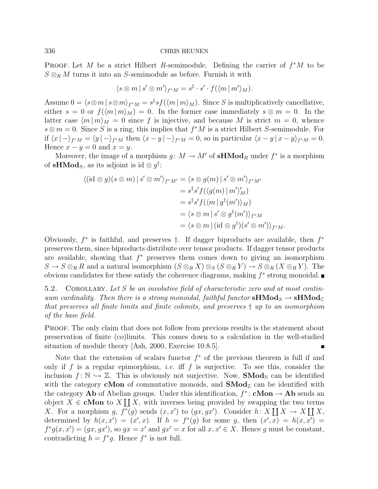PROOF. Let M be a strict Hilbert R-semimodule. Defining the carrier of  $f^*M$  to be  $S \otimes_R M$  turns it into an S-semimodule as before. Furnish it with

$$
\langle s \otimes m \, | \, s' \otimes m' \rangle_{f^*M} = s^{\ddagger} \cdot s' \cdot f(\langle m \, | \, m' \rangle_M).
$$

Assume  $0 = \langle s \otimes m | s \otimes m \rangle_{f^*M} = s^{\ddagger} s f(\langle m | m \rangle_M)$ . Since S is multiplicatively cancellative, either  $s = 0$  or  $f(\langle m | m \rangle_M) = 0$ . In the former case immediately  $s \otimes m = 0$ . In the latter case  $\langle m | m \rangle_M = 0$  since f is injective, and because M is strict  $m = 0$ , whence  $s \otimes m = 0$ . Since S is a ring, this implies that  $f^*M$  is a strict Hilbert S-semimodule. For if  $\langle x | -\rangle_{f^*M} = \langle y | -\rangle_{f^*M}$  then  $\langle x - y | -\rangle_{f^*M} = 0$ , so in particular  $\langle x - y | x - y \rangle_{f^*M} = 0$ . Hence  $x - y = 0$  and  $x = y$ .

Moreover, the image of a morphism  $g: M \to M'$  of **sHMod**<sub>R</sub> under  $f^*$  is a morphism of sHMod<sub>S</sub>, as its adjoint is id  $\otimes g^{\dagger}$ :

$$
\langle (\mathrm{id} \otimes g)(s \otimes m) \mid s' \otimes m' \rangle_{f^*M'} = \langle s \otimes g(m) \mid s' \otimes m' \rangle_{f^*M'}
$$
  
\n
$$
= s^{\ddagger} s' f(\langle g(m) \mid m' \rangle_M')
$$
  
\n
$$
= s^{\ddagger} s' f(\langle m \mid g^{\dagger}(m') \rangle_M)
$$
  
\n
$$
= \langle s \otimes m \mid s' \otimes g^{\dagger}(m') \rangle_{f^*M}
$$
  
\n
$$
= \langle s \otimes m \mid (\mathrm{id} \otimes g^{\dagger})(s' \otimes m') \rangle_{f^*M}.
$$

Obviously,  $f^*$  is faithful, and preserves  $\dagger$ . If dagger biproducts are available, then  $f^*$ preserves them, since biproducts distribute over tensor products. If dagger tensor products are available, showing that  $f^*$  preserves them comes down to giving an isomorphism  $S \to S \otimes_R R$  and a natural isomorphism  $(S \otimes_R X) \otimes_S (S \otimes_R Y) \to S \otimes_R (X \otimes_R Y)$ . The obvious candidates for these satisfy the coherence diagrams, making  $f^*$  strong monoidal.

5.2. COROLLARY. Let  $S$  be an involutive field of characteristic zero and at most continuum cardinality. Then there is a strong monoidal, faithful functor  $\mathbf{sHMod}_{S} \to \mathbf{sHMod}_{\mathbb{C}}$ that preserves all finite limits and finite colimits, and preserves † up to an isomorphism of the base field.

PROOF. The only claim that does not follow from previous results is the statement about preservation of finite (co)limits. This comes down to a calculation in the well-studied situation of module theory [Ash, 2000, Exercise 10.8.5].

Note that the extension of scalars functor  $f^*$  of the previous theorem is full if and only if f is a regular epimorphism, *i.e.* iff f is surjective. To see this, consider the inclusion  $f: \mathbb{N} \hookrightarrow \mathbb{Z}$ . This is obviously not surjective. Now, **SMod**<sub>N</sub> can be identified with the category **cMon** of commutative monoids, and  $\text{SMod}_{\mathbb{Z}}$  can be identified with the category **Ab** of Abelian groups. Under this identification,  $f^*$ : **cMon**  $\rightarrow$  **Ab** sends an object  $X \in \text{cMon to } X \coprod X$ , with inverses being provided by swapping the two terms X. For a morphism g,  $f^*(g)$  sends  $(x, x')$  to  $(gx, gx')$ . Consider  $h: X \coprod X \to X \coprod X$ , determined by  $h(x, x') = (x', x)$ . If  $h = f^{*}(g)$  for some g, then  $(x', x) = h(x, x') =$  $f^*g(x, x') = (gx, gx')$ , so  $gx = x'$  and  $gx' = x$  for all  $x, x' \in X$ . Hence g must be constant, contradicting  $h = f^*g$ . Hence  $f^*$  is not full.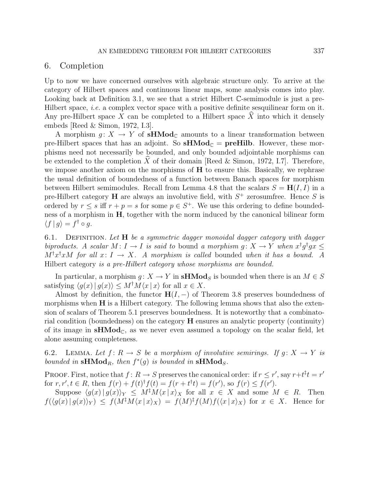### 6. Completion

Up to now we have concerned ourselves with algebraic structure only. To arrive at the category of Hilbert spaces and continuous linear maps, some analysis comes into play. Looking back at Definition 3.1, we see that a strict Hilbert  $\mathbb{C}$ -semimodule is just a pre-Hilbert space, *i.e.* a complex vector space with a positive definite sesquilinear form on it. Any pre-Hilbert space X can be completed to a Hilbert space  $\hat{X}$  into which it densely embeds [Reed & Simon, 1972, I.3].

A morphism  $g: X \to Y$  of sHMod<sub>C</sub> amounts to a linear transformation between pre-Hilbert spaces that has an adjoint. So  $\textbf{sHMod}_{\mathbb{C}} = \textbf{preHilb}$ . However, these morphisms need not necessarily be bounded, and only bounded adjointable morphisms can be extended to the completion  $\tilde{X}$  of their domain [Reed & Simon, 1972, I.7]. Therefore, we impose another axiom on the morphisms of H to ensure this. Basically, we rephrase the usual definition of boundedness of a function between Banach spaces for morphism between Hilbert semimodules. Recall from Lemma 4.8 that the scalars  $S = H(I, I)$  in a pre-Hilbert category **H** are always an involutive field, with  $S^+$  zerosumfree. Hence S is ordered by  $r \leq s$  iff  $r + p = s$  for some  $p \in S^+$ . We use this ordering to define boundedness of a morphism in H, together with the norm induced by the canonical bilinear form  $\langle f | g \rangle = f^{\dagger} \circ g.$ 

6.1. DEFINITION. Let  $H$  be a symmetric dagger monoidal dagger category with dagger biproducts. A scalar  $M: I \to I$  is said to bound a morphism  $g: X \to Y$  when  $x^{\dagger}g^{\dagger}gx \leq$  $M^{\dagger}x^{\dagger}xM$  for all  $x: I \to X$ . A morphism is called bounded when it has a bound. A Hilbert category is a pre-Hilbert category whose morphisms are bounded.

In particular, a morphism  $q: X \to Y$  in **sHMod**<sub>S</sub> is bounded when there is an  $M \in S$ satisfying  $\langle q(x)| q(x)\rangle \leq M^{\dagger}M\langle x|x\rangle$  for all  $x \in X$ .

Almost by definition, the functor  $H(I, -)$  of Theorem 3.8 preserves boundedness of morphisms when  $H$  is a Hilbert category. The following lemma shows that also the extension of scalars of Theorem 5.1 preserves boundedness. It is noteworthy that a combinatorial condition (boundedness) on the category H ensures an analytic property (continuity) of its image in  $\mathbf{sHMod}_{\mathbb{C}}$ , as we never even assumed a topology on the scalar field, let alone assuming completeness.

6.2. LEMMA. Let  $f: R \to S$  be a morphism of involutive semirings. If  $g: X \to Y$  is bounded in  $\mathrm{sHMod}_R$ , then  $f^*(g)$  is bounded in  $\mathrm{sHMod}_S$ .

PROOF. First, notice that  $f: R \to S$  preserves the canonical order: if  $r \leq r'$ , say  $r+t^{\ddagger}t = r'$ for  $r, r', t \in R$ , then  $f(r) + f(t)^\dagger f(t) = f(r + t^\dagger t) = f(r')$ , so  $f(r) \leq f(r')$ .

Suppose  $\langle g(x)| g(x)\rangle_Y \leq M^{\frac{1}{4}}M\langle x|x\rangle_X$  for all  $x \in X$  and some  $M \in R$ . Then  $f(\langle g(x) | g(x) \rangle_Y) \leq f(M^{\ddagger}M \langle x | x \rangle_X) = f(M)^{\ddagger}f(M)f(\langle x | x \rangle_X)$  for  $x \in X$ . Hence for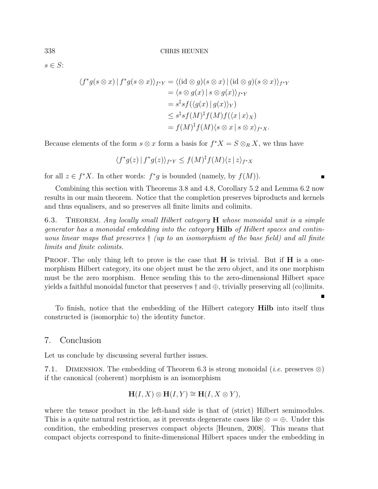$s \in S$ :

$$
\langle f^*g(s\otimes x) | f^*g(s\otimes x) \rangle_{f^*Y} = \langle (\mathrm{id}\otimes g)(s\otimes x) | (\mathrm{id}\otimes g)(s\otimes x) \rangle_{f^*Y}
$$
  
\n
$$
= \langle s\otimes g(x) | s\otimes g(x) \rangle_{f^*Y}
$$
  
\n
$$
= s^{\ddagger}s f(\langle g(x) | g(x) \rangle_Y)
$$
  
\n
$$
\leq s^{\ddagger}s f(M)^{\ddagger}f(M)f(\langle x | x \rangle_X)
$$
  
\n
$$
= f(M)^{\ddagger}f(M)\langle s\otimes x | s\otimes x \rangle_{f^*X}.
$$

Because elements of the form  $s \otimes x$  form a basis for  $f^*X = S \otimes_R X$ , we thus have

$$
\langle f^*g(z) | f^*g(z) \rangle_{f^*Y} \le f(M)^\dagger f(M) \langle z | z \rangle_{f^*X}
$$

for all  $z \in f^*X$ . In other words:  $f^*g$  is bounded (namely, by  $f(M)$ ).

Combining this section with Theorems 3.8 and 4.8, Corollary 5.2 and Lemma 6.2 now results in our main theorem. Notice that the completion preserves biproducts and kernels and thus equalisers, and so preserves all finite limits and colimits.

6.3. THEOREM. Any locally small Hilbert category **H** whose monoidal unit is a simple generator has a monoidal embedding into the category Hilb of Hilbert spaces and continuous linear maps that preserves † (up to an isomorphism of the base field) and all finite limits and finite colimits.

**PROOF.** The only thing left to prove is the case that  $H$  is trivial. But if  $H$  is a onemorphism Hilbert category, its one object must be the zero object, and its one morphism must be the zero morphism. Hence sending this to the zero-dimensional Hilbert space yields a faithful monoidal functor that preserves  $\dagger$  and  $\oplus$ , trivially preserving all (co)limits.

To finish, notice that the embedding of the Hilbert category Hilb into itself thus constructed is (isomorphic to) the identity functor.

## 7. Conclusion

Let us conclude by discussing several further issues.

7.1. DIMENSION. The embedding of Theorem 6.3 is strong monoidal (*i.e.* preserves  $\otimes$ ) if the canonical (coherent) morphism is an isomorphism

$$
\mathbf{H}(I, X) \otimes \mathbf{H}(I, Y) \cong \mathbf{H}(I, X \otimes Y),
$$

where the tensor product in the left-hand side is that of (strict) Hilbert semimodules. This is a quite natural restriction, as it prevents degenerate cases like  $\otimes = \oplus$ . Under this condition, the embedding preserves compact objects [Heunen, 2008]. This means that compact objects correspond to finite-dimensional Hilbert spaces under the embedding in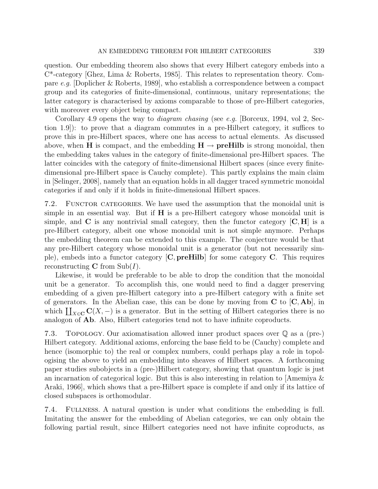question. Our embedding theorem also shows that every Hilbert category embeds into a C\*-category [Ghez, Lima & Roberts, 1985]. This relates to representation theory. Compare e.g. [Doplicher & Roberts, 1989], who establish a correspondence between a compact group and its categories of finite-dimensional, continuous, unitary representations; the latter category is characterised by axioms comparable to those of pre-Hilbert categories, with moreover every object being compact.

Corollary 4.9 opens the way to *diagram chasing* (see e.g. [Borceux, 1994, vol 2, Section 1.9]): to prove that a diagram commutes in a pre-Hilbert category, it suffices to prove this in pre-Hilbert spaces, where one has access to actual elements. As discussed above, when H is compact, and the embedding  $H \rightarrow preHilb$  is strong monoidal, then the embedding takes values in the category of finite-dimensional pre-Hilbert spaces. The latter coincides with the category of finite-dimensional Hilbert spaces (since every finitedimensional pre-Hilbert space is Cauchy complete). This partly explains the main claim in [Selinger, 2008], namely that an equation holds in all dagger traced symmetric monoidal categories if and only if it holds in finite-dimensional Hilbert spaces.

7.2. FUNCTOR CATEGORIES. We have used the assumption that the monoidal unit is simple in an essential way. But if  $H$  is a pre-Hilbert category whose monoidal unit is simple, and  $\bf{C}$  is any nontrivial small category, then the functor category  $[\bf{C},\bf{H}]$  is a pre-Hilbert category, albeit one whose monoidal unit is not simple anymore. Perhaps the embedding theorem can be extended to this example. The conjecture would be that any pre-Hilbert category whose monoidal unit is a generator (but not necessarily simple), embeds into a functor category  $[C, \text{preHilb}]$  for some category  $C$ . This requires reconstructing **C** from  $\text{Sub}(I)$ .

Likewise, it would be preferable to be able to drop the condition that the monoidal unit be a generator. To accomplish this, one would need to find a dagger preserving embedding of a given pre-Hilbert category into a pre-Hilbert category with a finite set of generators. In the Abelian case, this can be done by moving from  $C$  to  $[C, Ab]$ , in which  $\coprod_{X\in\mathbf{C}} C(X,-)$  is a generator. But in the setting of Hilbert categories there is no analogon of Ab. Also, Hilbert categories tend not to have infinite coproducts.

7.3. Topology. Our axiomatisation allowed inner product spaces over Q as a (pre-) Hilbert category. Additional axioms, enforcing the base field to be (Cauchy) complete and hence (isomorphic to) the real or complex numbers, could perhaps play a role in topologising the above to yield an embedding into sheaves of Hilbert spaces. A forthcoming paper studies subobjects in a (pre-)Hilbert category, showing that quantum logic is just an incarnation of categorical logic. But this is also interesting in relation to [Amemiya & Araki, 1966], which shows that a pre-Hilbert space is complete if and only if its lattice of closed subspaces is orthomodular.

7.4. Fullness. A natural question is under what conditions the embedding is full. Imitating the answer for the embedding of Abelian categories, we can only obtain the following partial result, since Hilbert categories need not have infinite coproducts, as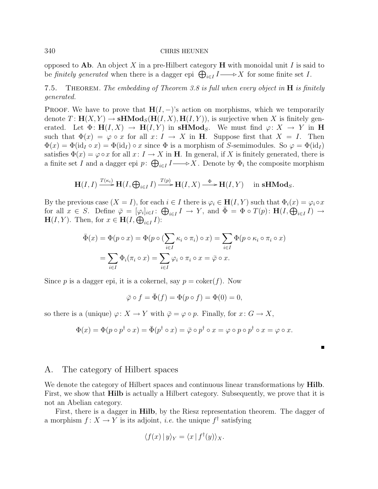opposed to Ab. An object X in a pre-Hilbert category  $\bf{H}$  with monoidal unit I is said to be finitely generated when there is a dagger epi  $\bigoplus_{i\in I} I \longrightarrow X$  for some finite set I.

7.5. THEOREM. The embedding of Theorem 3.8 is full when every object in  $H$  is finitely generated.

PROOF. We have to prove that  $H(I, -)$ 's action on morphisms, which we temporarily denote  $T: \mathbf{H}(X, Y) \to \mathbf{sHMod}_S(\mathbf{H}(I, X), \mathbf{H}(I, Y)),$  is surjective when X is finitely generated. Let  $\Phi: H(I, X) \to H(I, Y)$  in sHMod<sub>S</sub>. We must find  $\varphi: X \to Y$  in H such that  $\Phi(x) = \varphi \circ x$  for all  $x: I \to X$  in H. Suppose first that  $X = I$ . Then  $\Phi(x) = \Phi(\mathrm{id}_I \circ x) = \Phi(\mathrm{id}_I) \circ x$  since  $\Phi$  is a morphism of S-semimodules. So  $\varphi = \Phi(\mathrm{id}_I)$ satisfies  $\Phi(x) = \varphi \circ x$  for all  $x: I \to X$  in **H**. In general, if X is finitely generated, there is a finite set I and a dagger epi  $p: \bigoplus_{i \in I} I \longrightarrow X$ . Denote by  $\Phi_i$  the composite morphism

$$
\mathbf{H}(I,I) \xrightarrow{T(\kappa_i)} \mathbf{H}(I, \bigoplus_{i \in I} I) \xrightarrow{T(p)} \mathbf{H}(I,X) \xrightarrow{\Phi} \mathbf{H}(I,Y) \quad \text{in } \mathbf{sHMod}_S.
$$

By the previous case  $(X = I)$ , for each  $i \in I$  there is  $\varphi_i \in H(I, Y)$  such that  $\Phi_i(x) = \varphi_i \circ x$ for all  $x \in S$ . Define  $\overline{\varphi} = [\varphi_i]_{i \in I} : \bigoplus_{i \in I} I \to Y$ , and  $\overline{\Phi} = \Phi \circ T(p) : \mathbf{H}(I, \bigoplus_{i \in I} I) \to Y$  $\mathbf{H}(I, Y)$ . Then, for  $x \in \mathbf{H}(I, \bigoplus_{i \in I} I)$ :

$$
\bar{\Phi}(x) = \Phi(p \circ x) = \Phi(p \circ (\sum_{i \in I} \kappa_i \circ \pi_i) \circ x) = \sum_{i \in I} \Phi(p \circ \kappa_i \circ \pi_i \circ x)
$$

$$
= \sum_{i \in I} \Phi_i(\pi_i \circ x) = \sum_{i \in I} \varphi_i \circ \pi_i \circ x = \bar{\varphi} \circ x.
$$

Since p is a dagger epi, it is a cokernel, say  $p = \text{coker}(f)$ . Now

$$
\bar{\varphi} \circ f = \bar{\Phi}(f) = \Phi(p \circ f) = \Phi(0) = 0,
$$

so there is a (unique)  $\varphi \colon X \to Y$  with  $\bar{\varphi} = \varphi \circ p$ . Finally, for  $x \colon G \to X$ ,

$$
\Phi(x) = \Phi(p \circ p^{\dagger} \circ x) = \overline{\Phi}(p^{\dagger} \circ x) = \overline{\varphi} \circ p^{\dagger} \circ x = \varphi \circ p \circ p^{\dagger} \circ x = \varphi \circ x.
$$

# A. The category of Hilbert spaces

We denote the category of Hilbert spaces and continuous linear transformations by **Hilb**. First, we show that Hilb is actually a Hilbert category. Subsequently, we prove that it is not an Abelian category.

First, there is a dagger in Hilb, by the Riesz representation theorem. The dagger of a morphism  $f: X \to Y$  is its adjoint, *i.e.* the unique  $f^{\dagger}$  satisfying

$$
\langle f(x) | y \rangle_Y = \langle x | f^{\dagger}(y) \rangle_X.
$$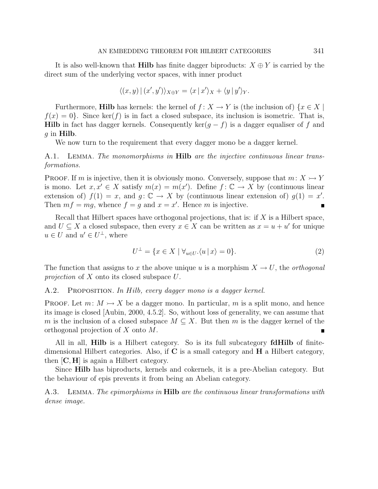It is also well-known that **Hilb** has finite dagger biproducts:  $X \oplus Y$  is carried by the direct sum of the underlying vector spaces, with inner product

$$
\langle (x,y) | (x',y') \rangle_{X \oplus Y} = \langle x | x' \rangle_X + \langle y | y' \rangle_Y.
$$

Furthermore, **Hilb** has kernels: the kernel of  $f: X \to Y$  is (the inclusion of)  $\{x \in X \mid$  $f(x) = 0$ . Since ker(f) is in fact a closed subspace, its inclusion is isometric. That is, Hilb in fact has dagger kernels. Consequently ker( $g - f$ ) is a dagger equaliser of f and  $g$  in Hilb.

We now turn to the requirement that every dagger mono be a dagger kernel.

A.1. LEMMA. The monomorphisms in **Hilb** are the injective continuous linear transformations.

**PROOF.** If m is injective, then it is obviously mono. Conversely, suppose that  $m: X \rightarrow Y$ is mono. Let  $x, x' \in X$  satisfy  $m(x) = m(x')$ . Define  $f: \mathbb{C} \to X$  by (continuous linear extension of)  $f(1) = x$ , and  $g: \mathbb{C} \to X$  by (continuous linear extension of)  $g(1) = x'$ . Then  $mf = mg$ , whence  $f = g$  and  $x = x'$ . Hence m is injective.

Recall that Hilbert spaces have orthogonal projections, that is: if  $X$  is a Hilbert space, and  $U \subseteq X$  a closed subspace, then every  $x \in X$  can be written as  $x = u + u'$  for unique  $u \in U$  and  $u' \in U^{\perp}$ , where

$$
U^{\perp} = \{ x \in X \mid \forall_{u \in U} . \langle u | x \rangle = 0 \}.
$$
 (2)

The function that assigns to x the above unique u is a morphism  $X \to U$ , the *orthogonal* projection of  $X$  onto its closed subspace  $U$ .

A.2. PROPOSITION. In Hilb, every dagger mono is a dagger kernel.

**PROOF.** Let  $m: M \rightarrow X$  be a dagger mono. In particular, m is a split mono, and hence its image is closed [Aubin, 2000, 4.5.2]. So, without loss of generality, we can assume that m is the inclusion of a closed subspace  $M \subseteq X$ . But then m is the dagger kernel of the orthogonal projection of X onto M.

All in all, **Hilb** is a Hilbert category. So is its full subcategory **fdHilb** of finitedimensional Hilbert categories. Also, if  $C$  is a small category and  $H$  a Hilbert category, then [C, H] is again a Hilbert category.

Since Hilb has biproducts, kernels and cokernels, it is a pre-Abelian category. But the behaviour of epis prevents it from being an Abelian category.

A.3. LEMMA. The epimorphisms in **Hilb** are the continuous linear transformations with dense image.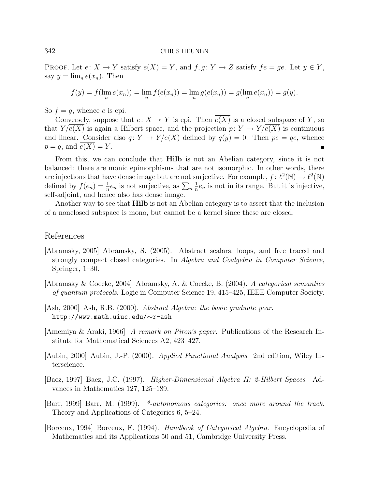PROOF. Let  $e: X \to Y$  satisfy  $e(X) = Y$ , and  $f, g: Y \to Z$  satisfy  $fe = ge$ . Let  $y \in Y$ , say  $y = \lim_{n \in \mathbb{R}} e(x_n)$ . Then

$$
f(y) = f(\lim_{n} e(x_n)) = \lim_{n} f(e(x_n)) = \lim_{n} g(e(x_n)) = g(\lim_{n} e(x_n)) = g(y).
$$

So  $f = q$ , whence e is epi.

Conversely, suppose that  $e: X \to Y$  is epi. Then  $e(X)$  is a closed subspace of Y, so that  $Y/e(X)$  is again a Hilbert space, and the projection  $p: Y \to Y/e(X)$  is continuous and linear. Consider also  $q: Y \to Y/e(X)$  defined by  $q(y) = 0$ . Then  $pe = qe$ , whence  $p = q$ , and  $e(X) = Y$ .

From this, we can conclude that **Hilb** is not an Abelian category, since it is not balanced: there are monic epimorphisms that are not isomorphic. In other words, there are injections that have dense image but are not surjective. For example,  $f: \ell^2(\mathbb{N}) \to \ell^2(\mathbb{N})$ defined by  $f(e_n) = \frac{1}{n}e_n$  is not surjective, as  $\sum_n$ 1  $\frac{1}{n}e_n$  is not in its range. But it is injective, self-adjoint, and hence also has dense image.

Another way to see that **Hilb** is not an Abelian category is to assert that the inclusion of a nonclosed subspace is mono, but cannot be a kernel since these are closed.

# References

- [Abramsky, 2005] Abramsky, S. (2005). Abstract scalars, loops, and free traced and strongly compact closed categories. In Algebra and Coalgebra in Computer Science, Springer, 1–30.
- [Abramsky & Coecke, 2004] Abramsky, A. & Coecke, B. (2004). A categorical semantics of quantum protocols. Logic in Computer Science 19, 415–425, IEEE Computer Society.
- [Ash, 2000] Ash, R.B. (2000). Abstract Algebra: the basic graduate year. http://www.math.uiuc.edu/∼r-ash
- [Amemiya & Araki, 1966] A remark on Piron's paper. Publications of the Research Institute for Mathematical Sciences A2, 423–427.
- [Aubin, 2000] Aubin, J.-P. (2000). Applied Functional Analysis. 2nd edition, Wiley Interscience.
- [Baez, 1997] Baez, J.C. (1997). Higher-Dimensional Algebra II: 2-Hilbert Spaces. Advances in Mathematics 127, 125–189.
- [Barr, 1999] Barr, M. (1999). \*-autonomous categories: once more around the track. Theory and Applications of Categories 6, 5–24.
- [Borceux, 1994] Borceux, F. (1994). Handbook of Categorical Algebra. Encyclopedia of Mathematics and its Applications 50 and 51, Cambridge University Press.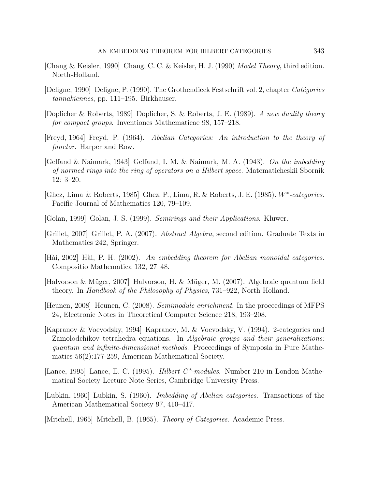- [Chang & Keisler, 1990] Chang, C. C. & Keisler, H. J. (1990) Model Theory, third edition. North-Holland.
- [Deligne, 1990] Deligne, P. (1990). The Grothendieck Festschrift vol. 2, chapter Catégories tannakiennes, pp. 111–195. Birkhauser.
- [Doplicher & Roberts, 1989] Doplicher, S. & Roberts, J. E. (1989). A new duality theory for compact groups. Inventiones Mathematicae 98, 157–218.
- [Freyd, 1964] Freyd, P. (1964). Abelian Categories: An introduction to the theory of functor. Harper and Row.
- [Gelfand & Naimark, 1943] Gelfand, I. M. & Naimark, M. A. (1943). On the imbedding of normed rings into the ring of operators on a Hilbert space. Matematicheskii Sbornik 12: 3–20.
- [Ghez, Lima & Roberts, 1985] Ghez, P., Lima, R. & Roberts, J. E. (1985). W<sup>∗</sup> -categories. Pacific Journal of Mathematics 120, 79–109.
- [Golan, 1999] Golan, J. S. (1999). Semirings and their Applications. Kluwer.
- [Grillet, 2007] Grillet, P. A. (2007). Abstract Algebra, second edition. Graduate Texts in Mathematics 242, Springer.
- $[H\ddot{a}i, 2002]$  H $\ddot{a}i, P. H. (2002)$ . An embedding theorem for Abelian monoidal categories. Compositio Mathematica 132, 27–48.
- [Halvorson & Müger, 2007] Halvorson, H. & Müger, M. (2007). Algebraic quantum field theory. In Handbook of the Philosophy of Physics, 731–922, North Holland.
- [Heunen, 2008] Heunen, C. (2008). Semimodule enrichment. In the proceedings of MFPS 24, Electronic Notes in Theoretical Computer Science 218, 193–208.
- [Kapranov & Voevodsky, 1994] Kapranov, M. & Voevodsky, V. (1994). 2-categories and Zamolodchikov tetrahedra equations. In Algebraic groups and their generalizations: quantum and infinite-dimensional methods. Proceedings of Symposia in Pure Mathematics 56(2):177-259, American Mathematical Society.
- [Lance, 1995] Lance, E. C. (1995). *Hilbert C*<sup>\*</sup>-modules. Number 210 in London Mathematical Society Lecture Note Series, Cambridge University Press.
- [Lubkin, 1960] Lubkin, S. (1960). Imbedding of Abelian categories. Transactions of the American Mathematical Society 97, 410–417.
- [Mitchell, 1965] Mitchell, B. (1965). Theory of Categories. Academic Press.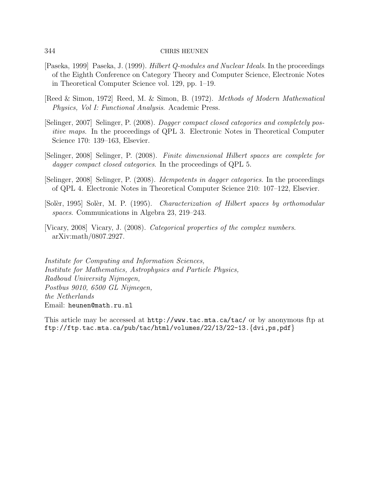- [Paseka, 1999] Paseka, J. (1999). Hilbert Q-modules and Nuclear Ideals. In the proceedings of the Eighth Conference on Category Theory and Computer Science, Electronic Notes in Theoretical Computer Science vol. 129, pp. 1–19.
- [Reed & Simon, 1972] Reed, M. & Simon, B. (1972). Methods of Modern Mathematical Physics, Vol I: Functional Analysis. Academic Press.
- [Selinger, 2007] Selinger, P. (2008). Dagger compact closed categories and completely positive maps. In the proceedings of QPL 3. Electronic Notes in Theoretical Computer Science 170: 139–163, Elsevier.
- [Selinger, 2008] Selinger, P. (2008). Finite dimensional Hilbert spaces are complete for dagger compact closed categories. In the proceedings of QPL 5.
- [Selinger, 2008] Selinger, P. (2008). Idempotents in dagger categories. In the proceedings of QPL 4. Electronic Notes in Theoretical Computer Science 210: 107–122, Elsevier.
- [Solèr, 1995] Solèr, M. P. (1995). Characterization of Hilbert spaces by orthomodular spaces. Communications in Algebra 23, 219–243.
- [Vicary, 2008] Vicary, J. (2008). Categorical properties of the complex numbers. arXiv:math/0807.2927.

Institute for Computing and Information Sciences, Institute for Mathematics, Astrophysics and Particle Physics, Radboud University Nijmegen, Postbus 9010, 6500 GL Nijmegen, the Netherlands Email: heunen@math.ru.nl

This article may be accessed at http://www.tac.mta.ca/tac/ or by anonymous ftp at ftp://ftp.tac.mta.ca/pub/tac/html/volumes/22/13/22-13.{dvi,ps,pdf}